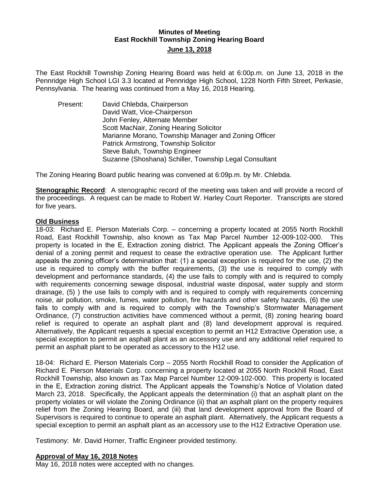## **Minutes of Meeting East Rockhill Township Zoning Hearing Board June 13, 2018**

The East Rockhill Township Zoning Hearing Board was held at 6:00p.m. on June 13, 2018 in the Pennridge High School LGI 3.3 located at Pennridge High School, 1228 North Fifth Street, Perkasie, Pennsylvania. The hearing was continued from a May 16, 2018 Hearing.

Present: David Chlebda, Chairperson David Watt, Vice-Chairperson John Fenley, Alternate Member Scott MacNair, Zoning Hearing Solicitor Marianne Morano, Township Manager and Zoning Officer Patrick Armstrong, Township Solicitor Steve Baluh, Township Engineer Suzanne (Shoshana) Schiller, Township Legal Consultant

The Zoning Hearing Board public hearing was convened at 6:09p.m. by Mr. Chlebda.

**Stenographic Record:** A stenographic record of the meeting was taken and will provide a record of the proceedings. A request can be made to Robert W. Harley Court Reporter. Transcripts are stored for five years.

### **Old Business**

18-03: Richard E. Pierson Materials Corp. – concerning a property located at 2055 North Rockhill Road, East Rockhill Township, also known as Tax Map Parcel Number 12-009-102-000. This property is located in the E, Extraction zoning district. The Applicant appeals the Zoning Officer's denial of a zoning permit and request to cease the extractive operation use. The Applicant further appeals the zoning officer's determination that: (1) a special exception is required for the use, (2) the use is required to comply with the buffer requirements, (3) the use is required to comply with development and performance standards, (4) the use fails to comply with and is required to comply with requirements concerning sewage disposal, industrial waste disposal, water supply and storm drainage, (5) ) the use fails to comply with and is required to comply with requirements concerning noise, air pollution, smoke, fumes, water pollution, fire hazards and other safety hazards, (6) the use fails to comply with and is required to comply with the Township's Stormwater Management Ordinance, (7) construction activities have commenced without a permit, (8) zoning hearing board relief is required to operate an asphalt plant and (8) land development approval is required. Alternatively, the Applicant requests a special exception to permit an H12 Extractive Operation use, a special exception to permit an asphalt plant as an accessory use and any additional relief required to permit an asphalt plant to be operated as accessory to the H12 use.

18-04: Richard E. Pierson Materials Corp – 2055 North Rockhill Road to consider the Application of Richard E. Pierson Materials Corp. concerning a property located at 2055 North Rockhill Road, East Rockhill Township, also known as Tax Map Parcel Number 12-009-102-000. This property is located in the E, Extraction zoning district. The Applicant appeals the Township's Notice of Violation dated March 23, 2018. Specifically, the Applicant appeals the determination (i) that an asphalt plant on the property violates or will violate the Zoning Ordinance (ii) that an asphalt plant on the property requires relief from the Zoning Hearing Board, and (iii) that land development approval from the Board of Supervisors is required to continue to operate an asphalt plant. Alternatively, the Applicant requests a special exception to permit an asphalt plant as an accessory use to the H12 Extractive Operation use.

Testimony: Mr. David Horner, Traffic Engineer provided testimony.

#### **Approval of May 16, 2018 Notes**

May 16, 2018 notes were accepted with no changes.